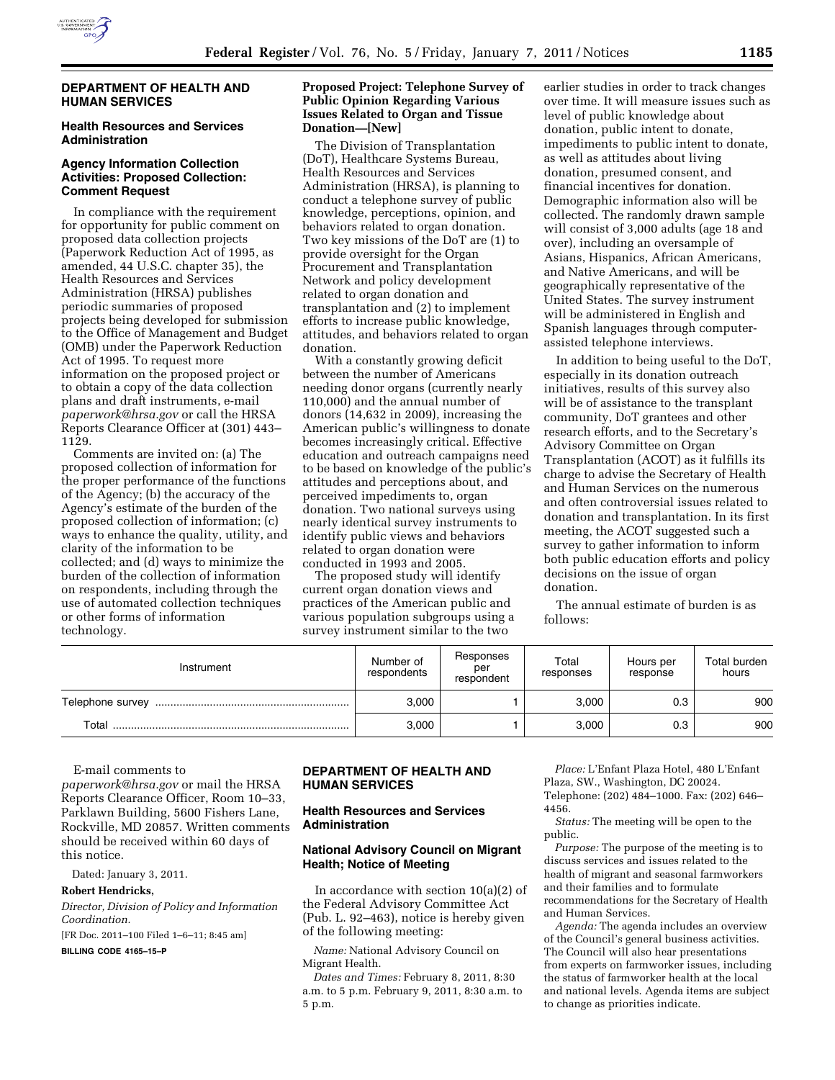

#### **DEPARTMENT OF HEALTH AND HUMAN SERVICES**

## **Health Resources and Services Administration**

## **Agency Information Collection Activities: Proposed Collection: Comment Request**

In compliance with the requirement for opportunity for public comment on proposed data collection projects (Paperwork Reduction Act of 1995, as amended, 44 U.S.C. chapter 35), the Health Resources and Services Administration (HRSA) publishes periodic summaries of proposed projects being developed for submission to the Office of Management and Budget (OMB) under the Paperwork Reduction Act of 1995. To request more information on the proposed project or to obtain a copy of the data collection plans and draft instruments, e-mail *[paperwork@hrsa.gov](mailto:paperwork@hrsa.gov)* or call the HRSA Reports Clearance Officer at (301) 443– 1129.

Comments are invited on: (a) The proposed collection of information for the proper performance of the functions of the Agency; (b) the accuracy of the Agency's estimate of the burden of the proposed collection of information; (c) ways to enhance the quality, utility, and clarity of the information to be collected; and (d) ways to minimize the burden of the collection of information on respondents, including through the use of automated collection techniques or other forms of information technology.

## **Proposed Project: Telephone Survey of Public Opinion Regarding Various Issues Related to Organ and Tissue Donation—[New]**

The Division of Transplantation (DoT), Healthcare Systems Bureau, Health Resources and Services Administration (HRSA), is planning to conduct a telephone survey of public knowledge, perceptions, opinion, and behaviors related to organ donation. Two key missions of the DoT are (1) to provide oversight for the Organ Procurement and Transplantation Network and policy development related to organ donation and transplantation and (2) to implement efforts to increase public knowledge, attitudes, and behaviors related to organ donation.

With a constantly growing deficit between the number of Americans needing donor organs (currently nearly 110,000) and the annual number of donors (14,632 in 2009), increasing the American public's willingness to donate becomes increasingly critical. Effective education and outreach campaigns need to be based on knowledge of the public's attitudes and perceptions about, and perceived impediments to, organ donation. Two national surveys using nearly identical survey instruments to identify public views and behaviors related to organ donation were conducted in 1993 and 2005.

The proposed study will identify current organ donation views and practices of the American public and various population subgroups using a survey instrument similar to the two

earlier studies in order to track changes over time. It will measure issues such as level of public knowledge about donation, public intent to donate, impediments to public intent to donate, as well as attitudes about living donation, presumed consent, and financial incentives for donation. Demographic information also will be collected. The randomly drawn sample will consist of 3,000 adults (age 18 and over), including an oversample of Asians, Hispanics, African Americans, and Native Americans, and will be geographically representative of the United States. The survey instrument will be administered in English and Spanish languages through computerassisted telephone interviews.

In addition to being useful to the DoT, especially in its donation outreach initiatives, results of this survey also will be of assistance to the transplant community, DoT grantees and other research efforts, and to the Secretary's Advisory Committee on Organ Transplantation (ACOT) as it fulfills its charge to advise the Secretary of Health and Human Services on the numerous and often controversial issues related to donation and transplantation. In its first meeting, the ACOT suggested such a survey to gather information to inform both public education efforts and policy decisions on the issue of organ donation.

The annual estimate of burden is as follows:

| Instrument       | Number of<br>respondents | Responses<br>per<br>respondent | Total<br>responses | Hours per<br>response | Total burden<br>hours |
|------------------|--------------------------|--------------------------------|--------------------|-----------------------|-----------------------|
| Telephone survey | 3.000                    |                                | 3.000              | 0.3                   | 900                   |
| Total            | 3,000                    |                                | 3,000              | 0.3                   | 900                   |

E-mail comments to

*[paperwork@hrsa.gov](mailto:paperwork@hrsa.gov)* or mail the HRSA Reports Clearance Officer, Room 10–33, Parklawn Building, 5600 Fishers Lane, Rockville, MD 20857. Written comments should be received within 60 days of this notice.

Dated: January 3, 2011.

#### **Robert Hendricks,**

*Director, Division of Policy and Information Coordination.* 

[FR Doc. 2011–100 Filed 1–6–11; 8:45 am]

**BILLING CODE 4165–15–P** 

# **DEPARTMENT OF HEALTH AND HUMAN SERVICES**

# **Health Resources and Services Administration**

# **National Advisory Council on Migrant Health; Notice of Meeting**

In accordance with section 10(a)(2) of the Federal Advisory Committee Act (Pub. L. 92–463), notice is hereby given of the following meeting:

*Name:* National Advisory Council on Migrant Health.

*Dates and Times:* February 8, 2011, 8:30 a.m. to 5 p.m. February 9, 2011, 8:30 a.m. to 5 p.m.

*Place:* L'Enfant Plaza Hotel, 480 L'Enfant Plaza, SW., Washington, DC 20024. Telephone: (202) 484–1000. Fax: (202) 646– 4456.

*Status:* The meeting will be open to the public.

*Purpose:* The purpose of the meeting is to discuss services and issues related to the health of migrant and seasonal farmworkers and their families and to formulate recommendations for the Secretary of Health and Human Services.

*Agenda:* The agenda includes an overview of the Council's general business activities. The Council will also hear presentations from experts on farmworker issues, including the status of farmworker health at the local and national levels. Agenda items are subject to change as priorities indicate.